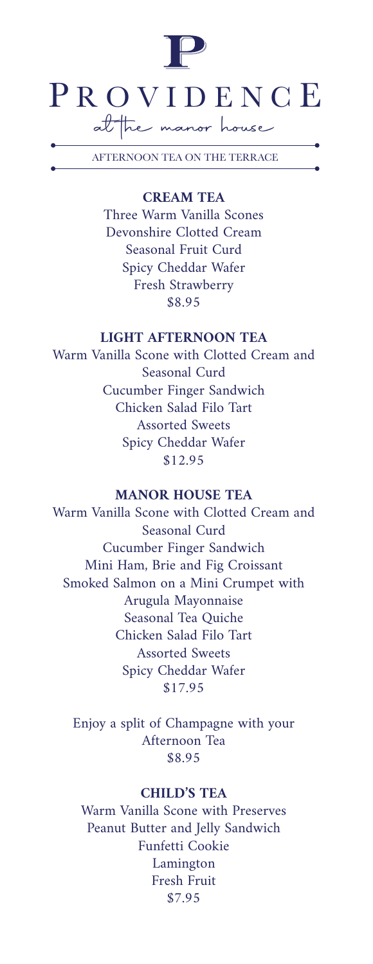

AFTERNOON TEA ON THE TERRACE

## **CREAM TEA**

Three Warm Vanilla Scones Devonshire Clotted Cream Seasonal Fruit Curd Spicy Cheddar Wafer Fresh Strawberry \$8.95

# **LIGHT AFTERNOON TEA**

Warm Vanilla Scone with Clotted Cream and Seasonal Curd Cucumber Finger Sandwich Chicken Salad Filo Tart Assorted Sweets Spicy Cheddar Wafer \$12.95

#### **MANOR HOUSE TEA**

Warm Vanilla Scone with Clotted Cream and Seasonal Curd Cucumber Finger Sandwich Mini Ham, Brie and Fig Croissant Smoked Salmon on a Mini Crumpet with Arugula Mayonnaise Seasonal Tea Quiche Chicken Salad Filo Tart Assorted Sweets Spicy Cheddar Wafer \$17.95

Enjoy a split of Champagne with your Afternoon Tea \$8.95

# **CHILD'S TEA**

Warm Vanilla Scone with Preserves Peanut Butter and Jelly Sandwich Funfetti Cookie Lamington Fresh Fruit \$7.95